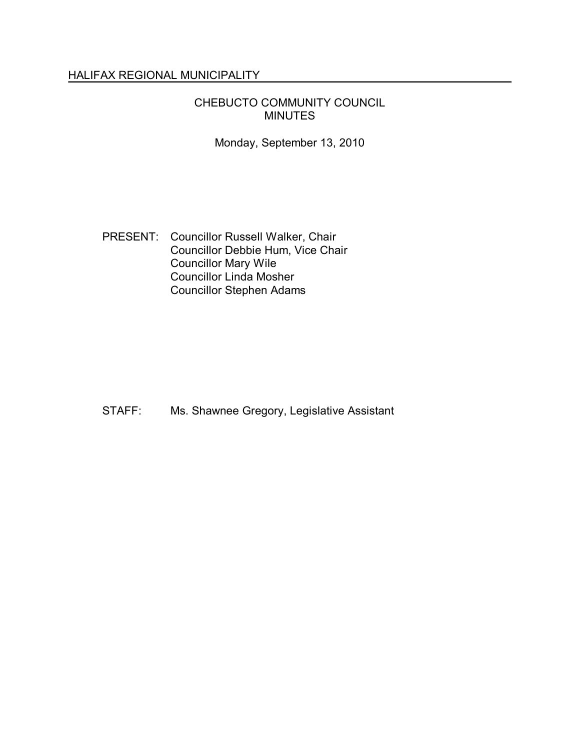### HALIFAX REGIONAL MUNICIPALITY

### CHEBUCTO COMMUNITY COUNCIL MINUTES

Monday, September 13, 2010

PRESENT: Councillor Russell Walker, Chair Councillor Debbie Hum, Vice Chair Councillor Mary Wile Councillor Linda Mosher Councillor Stephen Adams

STAFF: Ms. Shawnee Gregory, Legislative Assistant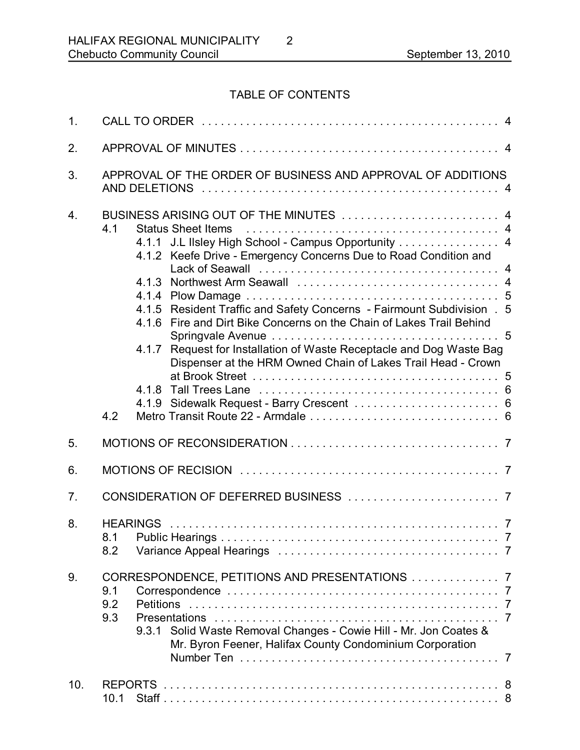# TABLE OF CONTENTS

| 1.               |                                                                                                                                                                                                                                                                                                                                                                                                                                                                                                                                                         |
|------------------|---------------------------------------------------------------------------------------------------------------------------------------------------------------------------------------------------------------------------------------------------------------------------------------------------------------------------------------------------------------------------------------------------------------------------------------------------------------------------------------------------------------------------------------------------------|
| 2.               |                                                                                                                                                                                                                                                                                                                                                                                                                                                                                                                                                         |
| 3.               | APPROVAL OF THE ORDER OF BUSINESS AND APPROVAL OF ADDITIONS                                                                                                                                                                                                                                                                                                                                                                                                                                                                                             |
| $\overline{4}$ . | BUSINESS ARISING OUT OF THE MINUTES  4<br>4.1<br><b>Status Sheet Items</b><br>4.1.1 J.L IIsley High School - Campus Opportunity 4<br>4.1.2 Keefe Drive - Emergency Concerns Due to Road Condition and<br>4.1.5 Resident Traffic and Safety Concerns - Fairmount Subdivision . 5<br>4.1.6 Fire and Dirt Bike Concerns on the Chain of Lakes Trail Behind<br>Request for Installation of Waste Receptacle and Dog Waste Bag<br>4.1.7<br>Dispenser at the HRM Owned Chain of Lakes Trail Head - Crown<br>4.1.9 Sidewalk Request - Barry Crescent  6<br>4.2 |
| 5.               |                                                                                                                                                                                                                                                                                                                                                                                                                                                                                                                                                         |
| 6.               |                                                                                                                                                                                                                                                                                                                                                                                                                                                                                                                                                         |
| 7.               |                                                                                                                                                                                                                                                                                                                                                                                                                                                                                                                                                         |
| 8.               | 8.1 Public Hearings.<br>7<br>8.2                                                                                                                                                                                                                                                                                                                                                                                                                                                                                                                        |
| 9.               | CORRESPONDENCE, PETITIONS AND PRESENTATIONS  7<br>9.1<br>9.2<br><b>Petitions</b><br>9.3<br>9.3.1 Solid Waste Removal Changes - Cowie Hill - Mr. Jon Coates &<br>Mr. Byron Feener, Halifax County Condominium Corporation                                                                                                                                                                                                                                                                                                                                |
| 10.              | 10.1                                                                                                                                                                                                                                                                                                                                                                                                                                                                                                                                                    |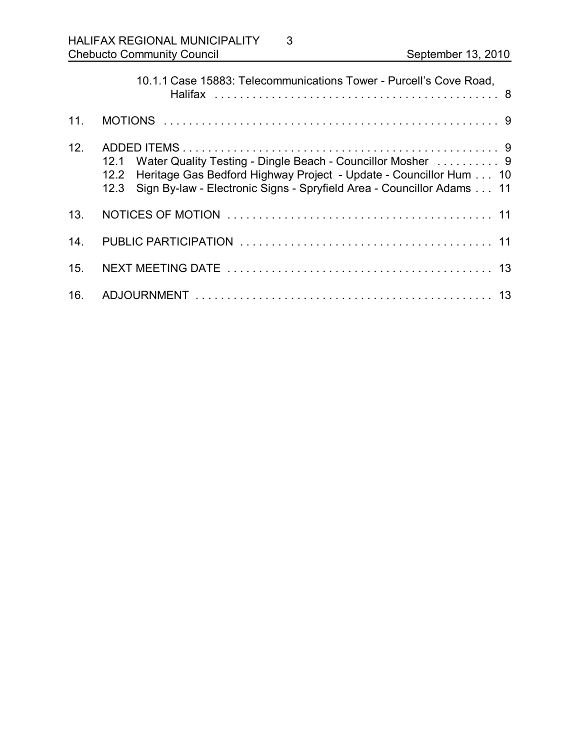|     | 10.1.1 Case 15883: Telecommunications Tower - Purcell's Cove Road,                                                                                                                                                                |
|-----|-----------------------------------------------------------------------------------------------------------------------------------------------------------------------------------------------------------------------------------|
| 11. |                                                                                                                                                                                                                                   |
| 12. | Water Quality Testing - Dingle Beach - Councillor Mosher  9<br>12.1<br>Heritage Gas Bedford Highway Project - Update - Councillor Hum 10<br>12.2<br>Sign By-law - Electronic Signs - Spryfield Area - Councillor Adams 11<br>12.3 |
| 13. |                                                                                                                                                                                                                                   |
| 14. |                                                                                                                                                                                                                                   |
| 15. |                                                                                                                                                                                                                                   |
| 16. |                                                                                                                                                                                                                                   |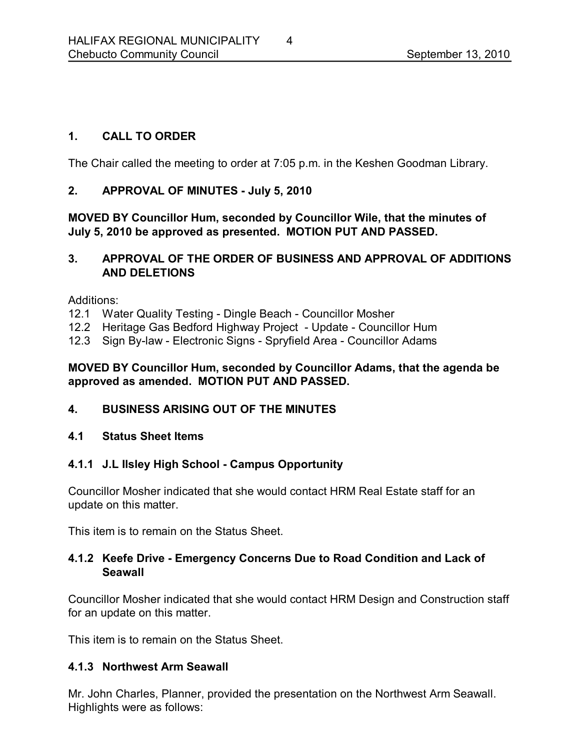### **1. CALL TO ORDER**

The Chair called the meeting to order at 7:05 p.m. in the Keshen Goodman Library.

### **2. APPROVAL OF MINUTES July 5, 2010**

**MOVED BY Councillor Hum, seconded by Councillor Wile, that the minutes of July 5, 2010 be approved as presented. MOTION PUT AND PASSED.** 

### **3. APPROVAL OF THE ORDER OF BUSINESS AND APPROVAL OF ADDITIONS AND DELETIONS**

Additions:

- 12.1 Water Quality Testing Dingle Beach Councillor Mosher
- 12.2 Heritage Gas Bedford Highway Project Update Councillor Hum
- 12.3 Sign By-law Electronic Signs Spryfield Area Councillor Adams

### **MOVED BY Councillor Hum, seconded by Councillor Adams, that the agenda be approved as amended. MOTION PUT AND PASSED.**

### **4. BUSINESS ARISING OUT OF THE MINUTES**

### **4.1 Status Sheet Items**

### **4.1.1 J.L Ilsley High School Campus Opportunity**

Councillor Mosher indicated that she would contact HRM Real Estate staff for an update on this matter.

This item is to remain on the Status Sheet.

### **4.1.2 Keefe Drive Emergency Concerns Due to Road Condition and Lack of Seawall**

Councillor Mosher indicated that she would contact HRM Design and Construction staff for an update on this matter.

This item is to remain on the Status Sheet.

### **4.1.3 Northwest Arm Seawall**

Mr. John Charles, Planner, provided the presentation on the Northwest Arm Seawall. Highlights were as follows: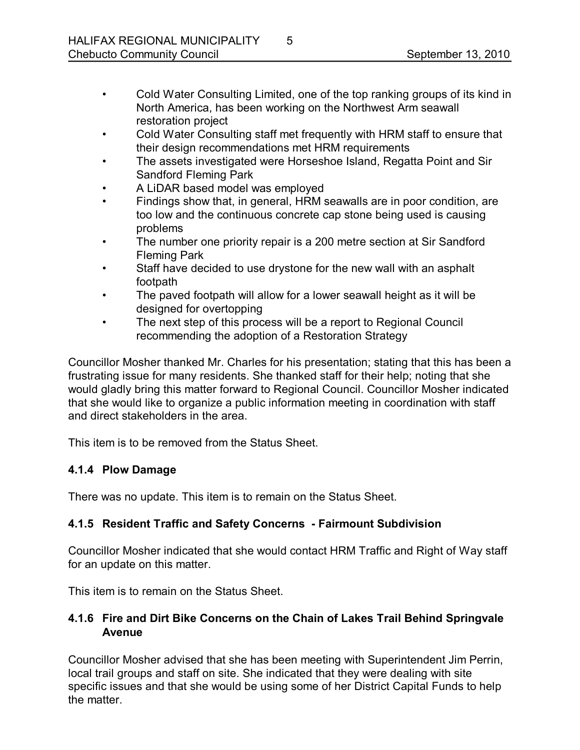- Cold Water Consulting Limited, one of the top ranking groups of its kind in North America, has been working on the Northwest Arm seawall restoration project
- Cold Water Consulting staff met frequently with HRM staff to ensure that their design recommendations met HRM requirements
- The assets investigated were Horseshoe Island, Regatta Point and Sir Sandford Fleming Park
- A LiDAR based model was employed
- Findings show that, in general, HRM seawalls are in poor condition, are too low and the continuous concrete cap stone being used is causing problems
- The number one priority repair is a 200 metre section at Sir Sandford Fleming Park
- Staff have decided to use drystone for the new wall with an asphalt footpath
- The paved footpath will allow for a lower seawall height as it will be designed for overtopping
- The next step of this process will be a report to Regional Council recommending the adoption of a Restoration Strategy

Councillor Mosher thanked Mr. Charles for his presentation; stating that this has been a frustrating issue for many residents. She thanked staff for their help; noting that she would gladly bring this matter forward to Regional Council. Councillor Mosher indicated that she would like to organize a public information meeting in coordination with staff and direct stakeholders in the area.

This item is to be removed from the Status Sheet.

# **4.1.4 Plow Damage**

There was no update. This item is to remain on the Status Sheet.

# **4.1.5 Resident Traffic and Safety Concerns Fairmount Subdivision**

Councillor Mosher indicated that she would contact HRM Traffic and Right of Way staff for an update on this matter.

This item is to remain on the Status Sheet.

# **4.1.6 Fire and Dirt Bike Concerns on the Chain of Lakes Trail Behind Springvale Avenue**

Councillor Mosher advised that she has been meeting with Superintendent Jim Perrin, local trail groups and staff on site. She indicated that they were dealing with site specific issues and that she would be using some of her District Capital Funds to help the matter.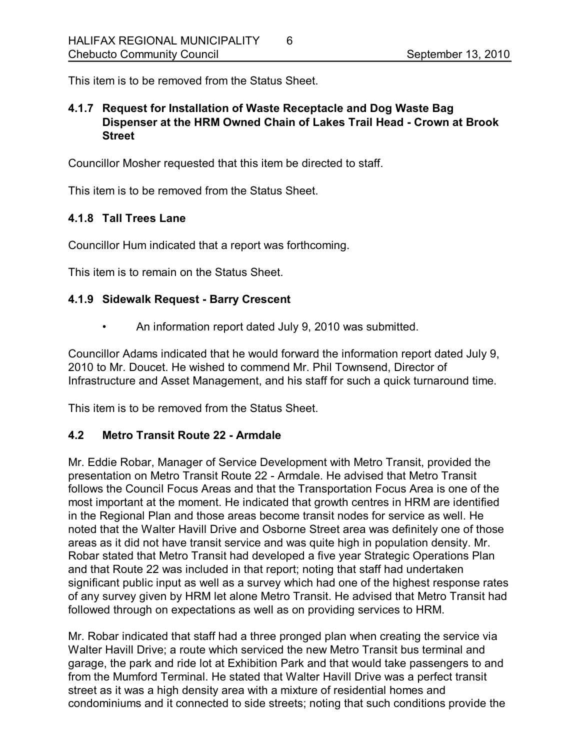This item is to be removed from the Status Sheet.

### **4.1.7 Request for Installation of Waste Receptacle and Dog Waste Bag Dispenser at the HRM Owned Chain of Lakes Trail Head Crown at Brook Street**

Councillor Mosher requested that this item be directed to staff.

This item is to be removed from the Status Sheet.

### **4.1.8 Tall Trees Lane**

Councillor Hum indicated that a report was forthcoming.

This item is to remain on the Status Sheet.

#### **4.1.9 Sidewalk Request Barry Crescent**

• An information report dated July 9, 2010 was submitted.

Councillor Adams indicated that he would forward the information report dated July 9, 2010 to Mr. Doucet. He wished to commend Mr. Phil Townsend, Director of Infrastructure and Asset Management, and his staff for such a quick turnaround time.

This item is to be removed from the Status Sheet.

#### **4.2 Metro Transit Route 22 Armdale**

Mr. Eddie Robar, Manager of Service Development with Metro Transit, provided the presentation on Metro Transit Route 22 - Armdale. He advised that Metro Transit follows the Council Focus Areas and that the Transportation Focus Area is one of the most important at the moment. He indicated that growth centres in HRM are identified in the Regional Plan and those areas become transit nodes for service as well. He noted that the Walter Havill Drive and Osborne Street area was definitely one of those areas as it did not have transit service and was quite high in population density. Mr. Robar stated that Metro Transit had developed a five year Strategic Operations Plan and that Route 22 was included in that report; noting that staff had undertaken significant public input as well as a survey which had one of the highest response rates of any survey given by HRM let alone Metro Transit. He advised that Metro Transit had followed through on expectations as well as on providing services to HRM.

Mr. Robar indicated that staff had a three pronged plan when creating the service via Walter Havill Drive; a route which serviced the new Metro Transit bus terminal and garage, the park and ride lot at Exhibition Park and that would take passengers to and from the Mumford Terminal. He stated that Walter Havill Drive was a perfect transit street as it was a high density area with a mixture of residential homes and condominiums and it connected to side streets; noting that such conditions provide the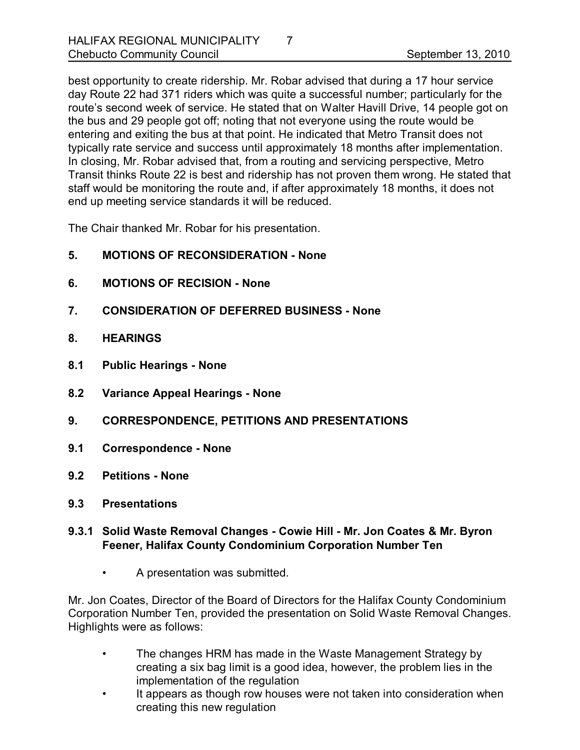best opportunity to create ridership. Mr. Robar advised that during a 17 hour service day Route 22 had 371 riders which was quite a successful number; particularly for the route's second week of service. He stated that on Walter Havill Drive, 14 people got on the bus and 29 people got off; noting that not everyone using the route would be entering and exiting the bus at that point. He indicated that Metro Transit does not typically rate service and success until approximately 18 months after implementation. In closing, Mr. Robar advised that, from a routing and servicing perspective, Metro Transit thinks Route 22 is best and ridership has not proven them wrong. He stated that staff would be monitoring the route and, if after approximately 18 months, it does not end up meeting service standards it will be reduced.

The Chair thanked Mr. Robar for his presentation.

- **5. MOTIONS OF RECONSIDERATION None**
- **6. MOTIONS OF RECISION None**
- **7. CONSIDERATION OF DEFERRED BUSINESS None**
- **8. HEARINGS**
- **8.1 Public Hearings None**
- **8.2 Variance Appeal Hearings None**
- **9. CORRESPONDENCE, PETITIONS AND PRESENTATIONS**
- **9.1 Correspondence None**
- **9.2 Petitions None**
- **9.3 Presentations**
- **9.3.1 Solid Waste Removal Changes Cowie Hill Mr. Jon Coates & Mr. Byron Feener, Halifax County Condominium Corporation Number Ten**
	- A presentation was submitted.

Mr. Jon Coates, Director of the Board of Directors for the Halifax County Condominium Corporation Number Ten, provided the presentation on Solid Waste Removal Changes. Highlights were as follows:

- The changes HRM has made in the Waste Management Strategy by creating a six bag limit is a good idea, however, the problem lies in the implementation of the regulation
- It appears as though row houses were not taken into consideration when creating this new regulation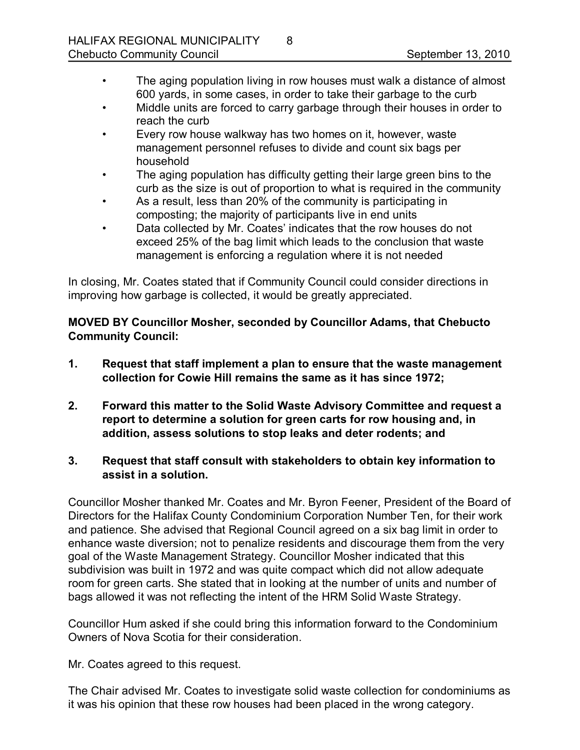- The aging population living in row houses must walk a distance of almost 600 yards, in some cases, in order to take their garbage to the curb
- Middle units are forced to carry garbage through their houses in order to reach the curb
- Every row house walkway has two homes on it, however, waste management personnel refuses to divide and count six bags per household
- The aging population has difficulty getting their large green bins to the curb as the size is out of proportion to what is required in the community
- As a result, less than 20% of the community is participating in composting; the majority of participants live in end units
- Data collected by Mr. Coates' indicates that the row houses do not exceed 25% of the bag limit which leads to the conclusion that waste management is enforcing a regulation where it is not needed

In closing, Mr. Coates stated that if Community Council could consider directions in improving how garbage is collected, it would be greatly appreciated.

**MOVED BY Councillor Mosher, seconded by Councillor Adams, that Chebucto Community Council:**

- **1. Request that staff implement a plan to ensure that the waste management collection for Cowie Hill remains the same as it has since 1972;**
- **2. Forward this matter to the Solid Waste Advisory Committee and request a report to determine a solution for green carts for row housing and, in addition, assess solutions to stop leaks and deter rodents; and**
- **3. Request that staff consult with stakeholders to obtain key information to assist in a solution.**

Councillor Mosher thanked Mr. Coates and Mr. Byron Feener, President of the Board of Directors for the Halifax County Condominium Corporation Number Ten, for their work and patience. She advised that Regional Council agreed on a six bag limit in order to enhance waste diversion; not to penalize residents and discourage them from the very goal of the Waste Management Strategy. Councillor Mosher indicated that this subdivision was built in 1972 and was quite compact which did not allow adequate room for green carts. She stated that in looking at the number of units and number of bags allowed it was not reflecting the intent of the HRM Solid Waste Strategy.

Councillor Hum asked if she could bring this information forward to the Condominium Owners of Nova Scotia for their consideration.

Mr. Coates agreed to this request.

The Chair advised Mr. Coates to investigate solid waste collection for condominiums as it was his opinion that these row houses had been placed in the wrong category.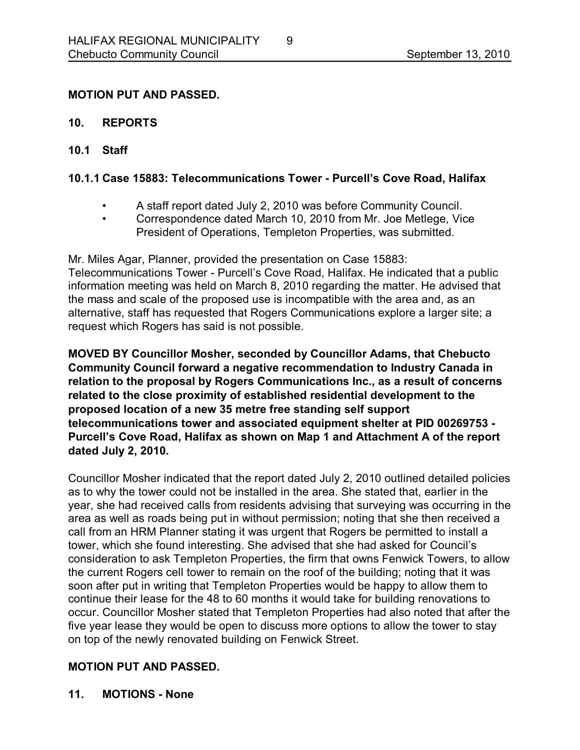### **MOTION PUT AND PASSED.**

- **10. REPORTS**
- **10.1 Staff**

### **10.1.1 Case 15883: Telecommunications Tower Purcell's Cove Road, Halifax**

- A staff report dated July 2, 2010 was before Community Council.
- Correspondence dated March 10, 2010 from Mr. Joe Metlege, Vice President of Operations, Templeton Properties, was submitted.

Mr. Miles Agar, Planner, provided the presentation on Case 15883: Telecommunications Tower - Purcell's Cove Road, Halifax. He indicated that a public information meeting was held on March 8, 2010 regarding the matter. He advised that the mass and scale of the proposed use is incompatible with the area and, as an alternative, staff has requested that Rogers Communications explore a larger site; a request which Rogers has said is not possible.

**MOVED BY Councillor Mosher, seconded by Councillor Adams, that Chebucto Community Council forward a negative recommendation to Industry Canada in relation to the proposal by Rogers Communications Inc., as a result of concerns related to the close proximity of established residential development to the proposed location of a new 35 metre free standing self support telecommunications tower and associated equipment shelter at PID 00269753 Purcell's Cove Road, Halifax as shown on Map 1 and Attachment A of the report dated July 2, 2010.**

Councillor Mosher indicated that the report dated July 2, 2010 outlined detailed policies as to why the tower could not be installed in the area. She stated that, earlier in the year, she had received calls from residents advising that surveying was occurring in the area as well as roads being put in without permission; noting that she then received a call from an HRM Planner stating it was urgent that Rogers be permitted to install a tower, which she found interesting. She advised that she had asked for Council's consideration to ask Templeton Properties, the firm that owns Fenwick Towers, to allow the current Rogers cell tower to remain on the roof of the building; noting that it was soon after put in writing that Templeton Properties would be happy to allow them to continue their lease for the 48 to 60 months it would take for building renovations to occur. Councillor Mosher stated that Templeton Properties had also noted that after the five year lease they would be open to discuss more options to allow the tower to stay on top of the newly renovated building on Fenwick Street.

# **MOTION PUT AND PASSED.**

**11. MOTIONS None**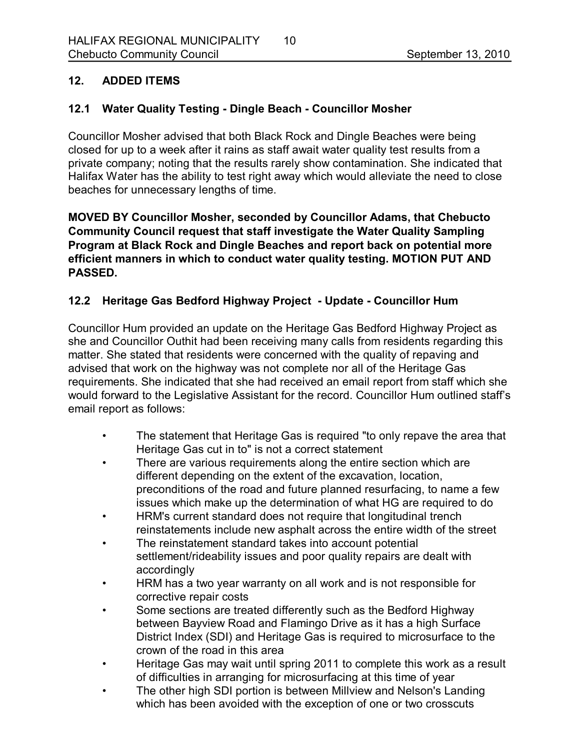# **12. ADDED ITEMS**

# **12.1 Water Quality Testing Dingle Beach Councillor Mosher**

Councillor Mosher advised that both Black Rock and Dingle Beaches were being closed for up to a week after it rains as staff await water quality test results from a private company; noting that the results rarely show contamination. She indicated that Halifax Water has the ability to test right away which would alleviate the need to close beaches for unnecessary lengths of time.

**MOVED BY Councillor Mosher, seconded by Councillor Adams, that Chebucto Community Council request that staff investigate the Water Quality Sampling Program at Black Rock and Dingle Beaches and report back on potential more efficient manners in which to conduct water quality testing. MOTION PUT AND PASSED.** 

# **12.2 Heritage Gas Bedford Highway Project Update Councillor Hum**

Councillor Hum provided an update on the Heritage Gas Bedford Highway Project as she and Councillor Outhit had been receiving many calls from residents regarding this matter. She stated that residents were concerned with the quality of repaving and advised that work on the highway was not complete nor all of the Heritage Gas requirements. She indicated that she had received an email report from staff which she would forward to the Legislative Assistant for the record. Councillor Hum outlined staff's email report as follows:

- The statement that Heritage Gas is required "to only repave the area that Heritage Gas cut in to" is not a correct statement
- There are various requirements along the entire section which are different depending on the extent of the excavation, location, preconditions of the road and future planned resurfacing, to name a few issues which make up the determination of what HG are required to do
- HRM's current standard does not require that longitudinal trench reinstatements include new asphalt across the entire width of the street
- The reinstatement standard takes into account potential settlement/rideability issues and poor quality repairs are dealt with accordingly
- HRM has a two year warranty on all work and is not responsible for corrective repair costs
- Some sections are treated differently such as the Bedford Highway between Bayview Road and Flamingo Drive as it has a high Surface District Index (SDI) and Heritage Gas is required to microsurface to the crown of the road in this area
- Heritage Gas may wait until spring 2011 to complete this work as a result of difficulties in arranging for microsurfacing at this time of year
- The other high SDI portion is between Millview and Nelson's Landing which has been avoided with the exception of one or two crosscuts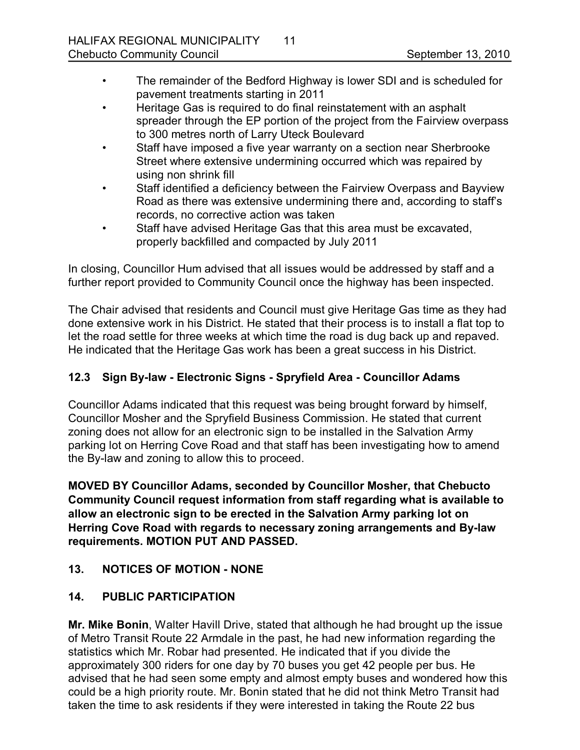- The remainder of the Bedford Highway is lower SDI and is scheduled for pavement treatments starting in 2011
- Heritage Gas is required to do final reinstatement with an asphalt spreader through the EP portion of the project from the Fairview overpass to 300 metres north of Larry Uteck Boulevard
- Staff have imposed a five year warranty on a section near Sherbrooke Street where extensive undermining occurred which was repaired by using non shrink fill
- Staff identified a deficiency between the Fairview Overpass and Bayview Road as there was extensive undermining there and, according to staff's records, no corrective action was taken
- Staff have advised Heritage Gas that this area must be excavated, properly backfilled and compacted by July 2011

In closing, Councillor Hum advised that all issues would be addressed by staff and a further report provided to Community Council once the highway has been inspected.

The Chair advised that residents and Council must give Heritage Gas time as they had done extensive work in his District. He stated that their process is to install a flat top to let the road settle for three weeks at which time the road is dug back up and repaved. He indicated that the Heritage Gas work has been a great success in his District.

# **12.3 Sign Bylaw Electronic Signs Spryfield Area Councillor Adams**

Councillor Adams indicated that this request was being brought forward by himself, Councillor Mosher and the Spryfield Business Commission. He stated that current zoning does not allow for an electronic sign to be installed in the Salvation Army parking lot on Herring Cove Road and that staff has been investigating how to amend the By-law and zoning to allow this to proceed.

**MOVED BY Councillor Adams, seconded by Councillor Mosher, that Chebucto Community Council request information from staff regarding what is available to allow an electronic sign to be erected in the Salvation Army parking lot on Herring Cove Road with regards to necessary zoning arrangements and Bylaw requirements. MOTION PUT AND PASSED.** 

# 13. NOTICES OF MOTION - NONE

# **14. PUBLIC PARTICIPATION**

**Mr. Mike Bonin**, Walter Havill Drive, stated that although he had brought up the issue of Metro Transit Route 22 Armdale in the past, he had new information regarding the statistics which Mr. Robar had presented. He indicated that if you divide the approximately 300 riders for one day by 70 buses you get 42 people per bus. He advised that he had seen some empty and almost empty buses and wondered how this could be a high priority route. Mr. Bonin stated that he did not think Metro Transit had taken the time to ask residents if they were interested in taking the Route 22 bus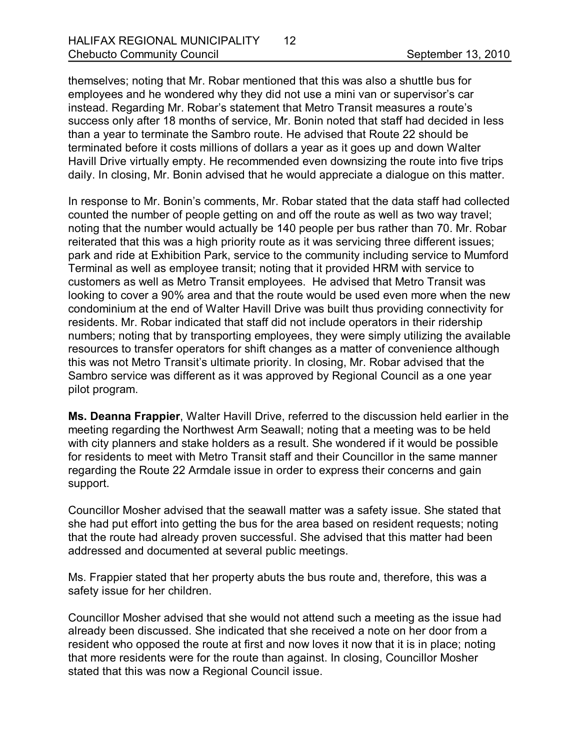themselves; noting that Mr. Robar mentioned that this was also a shuttle bus for employees and he wondered why they did not use a mini van or supervisor's car instead. Regarding Mr. Robar's statement that Metro Transit measures a route's success only after 18 months of service, Mr. Bonin noted that staff had decided in less than a year to terminate the Sambro route. He advised that Route 22 should be terminated before it costs millions of dollars a year as it goes up and down Walter Havill Drive virtually empty. He recommended even downsizing the route into five trips daily. In closing, Mr. Bonin advised that he would appreciate a dialogue on this matter.

In response to Mr. Bonin's comments, Mr. Robar stated that the data staff had collected counted the number of people getting on and off the route as well as two way travel; noting that the number would actually be 140 people per bus rather than 70. Mr. Robar reiterated that this was a high priority route as it was servicing three different issues; park and ride at Exhibition Park, service to the community including service to Mumford Terminal as well as employee transit; noting that it provided HRM with service to customers as well as Metro Transit employees. He advised that Metro Transit was looking to cover a 90% area and that the route would be used even more when the new condominium at the end of Walter Havill Drive was built thus providing connectivity for residents. Mr. Robar indicated that staff did not include operators in their ridership numbers; noting that by transporting employees, they were simply utilizing the available resources to transfer operators for shift changes as a matter of convenience although this was not Metro Transit's ultimate priority. In closing, Mr. Robar advised that the Sambro service was different as it was approved by Regional Council as a one year pilot program.

**Ms. Deanna Frappier**, Walter Havill Drive, referred to the discussion held earlier in the meeting regarding the Northwest Arm Seawall; noting that a meeting was to be held with city planners and stake holders as a result. She wondered if it would be possible for residents to meet with Metro Transit staff and their Councillor in the same manner regarding the Route 22 Armdale issue in order to express their concerns and gain support.

Councillor Mosher advised that the seawall matter was a safety issue. She stated that she had put effort into getting the bus for the area based on resident requests; noting that the route had already proven successful. She advised that this matter had been addressed and documented at several public meetings.

Ms. Frappier stated that her property abuts the bus route and, therefore, this was a safety issue for her children.

Councillor Mosher advised that she would not attend such a meeting as the issue had already been discussed. She indicated that she received a note on her door from a resident who opposed the route at first and now loves it now that it is in place; noting that more residents were for the route than against. In closing, Councillor Mosher stated that this was now a Regional Council issue.